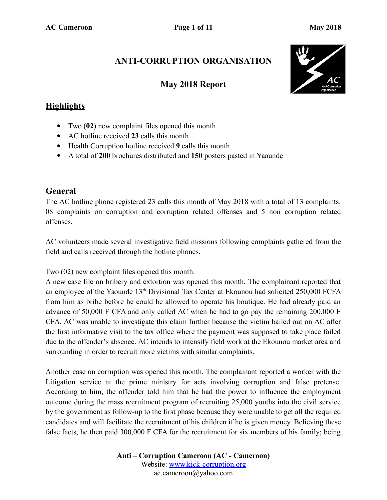### **ANTI-CORRUPTION ORGANISATION**

#### **May 2018 Report**



#### **Highlights**

- Two (**02**) new complaint files opened this month
- AC hotline received **23** calls this month
- Health Corruption hotline received **9** calls this month
- A total of **200** brochures distributed and **150** posters pasted in Yaounde

#### **General**

The AC hotline phone registered 23 calls this month of May 2018 with a total of 13 complaints. 08 complaints on corruption and corruption related offenses and 5 non corruption related offenses.

AC volunteers made several investigative field missions following complaints gathered from the field and calls received through the hotline phones.

Two (02) new complaint files opened this month.

A new case file on bribery and extortion was opened this month. The complainant reported that an employee of the Yaounde  $13<sup>th</sup>$  Divisional Tax Center at Ekounou had solicited 250,000 FCFA from him as bribe before he could be allowed to operate his boutique. He had already paid an advance of 50,000 F CFA and only called AC when he had to go pay the remaining 200,000 F CFA. AC was unable to investigate this claim further because the victim bailed out on AC after the first informative visit to the tax office where the payment was supposed to take place failed due to the offender's absence. AC intends to intensify field work at the Ekounou market area and surrounding in order to recruit more victims with similar complaints.

Another case on corruption was opened this month. The complainant reported a worker with the Litigation service at the prime ministry for acts involving corruption and false pretense. According to him, the offender told him that he had the power to influence the employment outcome during the mass recruitment program of recruiting 25,000 youths into the civil service by the government as follow-up to the first phase because they were unable to get all the required candidates and will facilitate the recruitment of his children if he is given money. Believing these false facts, he then paid 300,000 F CFA for the recruitment for six members of his family; being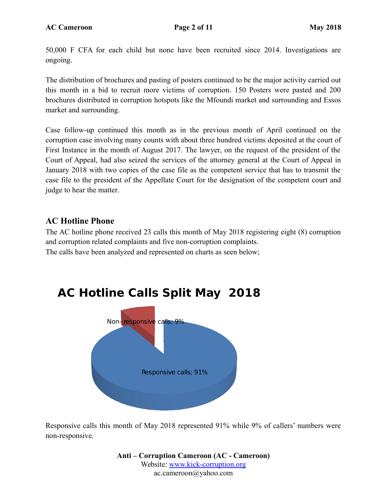50,000 F CFA for each child but none have been recruited since 2014. Investigations are ongoing.

The distribution of brochures and pasting of posters continued to be the major activity carried out this month in a bid to recruit more victims of corruption. 150 Posters were pasted and 200 brochures distributed in corruption hotspots like the Mfoundi market and surrounding and Essos market and surrounding.

Case follow-up continued this month as in the previous month of April continued on the corruption case involving many counts with about three hundred victims deposited at the court of First Instance in the month of August 2017. The lawyer, on the request of the president of the Court of Appeal, had also seized the services of the attorney general at the Court of Appeal in January 2018 with two copies of the case file as the competent service that has to transmit the case file to the president of the Appellate Court for the designation of the competent court and judge to hear the matter.

### **AC Hotline Phone**

The AC hotline phone received 23 calls this month of May 2018 registering eight (8) corruption and corruption related complaints and five non-corruption complaints. The calls have been analyzed and represented on charts as seen below;



Responsive calls this month of May 2018 represented 91% while 9% of callers' numbers were non-responsive.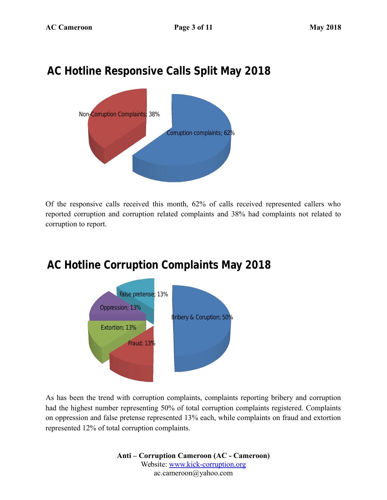# **AC Hotline Responsive Calls Split May 2018**



Of the responsive calls received this month, 62% of calls received represented callers who reported corruption and corruption related complaints and 38% had complaints not related to corruption to report.

# **AC Hotline Corruption Complaints May 2018**



As has been the trend with corruption complaints, complaints reporting bribery and corruption had the highest number representing 50% of total corruption complaints registered. Complaints on oppression and false pretense represented 13% each, while complaints on fraud and extortion represented 12% of total corruption complaints.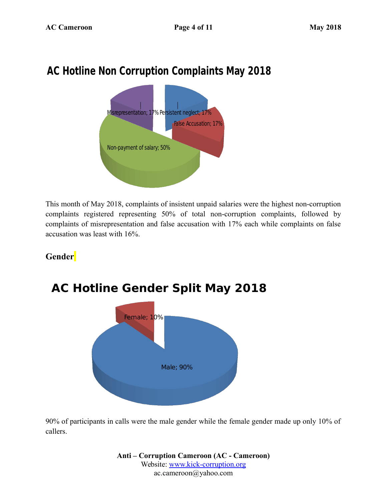# **AC Hotline Non Corruption Complaints May 2018**



This month of May 2018, complaints of insistent unpaid salaries were the highest non-corruption complaints registered representing 50% of total non-corruption complaints, followed by complaints of misrepresentation and false accusation with 17% each while complaints on false accusation was least with 16%.

### **Gender**



# **AC Hotline Gender Split May 2018**

90% of participants in calls were the male gender while the female gender made up only 10% of callers.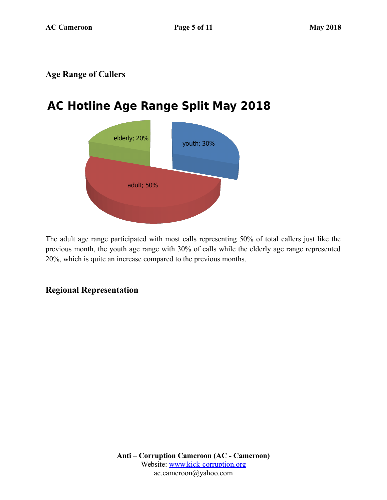#### **Age Range of Callers**

# **AC Hotline Age Range Split May 2018**



The adult age range participated with most calls representing 50% of total callers just like the previous month, the youth age range with 30% of calls while the elderly age range represented 20%, which is quite an increase compared to the previous months.

### **Regional Representation**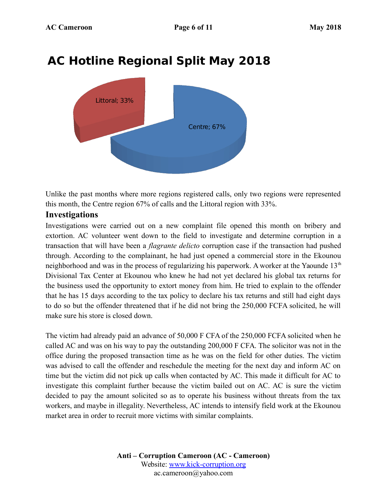

# **AC Hotline Regional Split May 2018**

Unlike the past months where more regions registered calls, only two regions were represented this month, the Centre region 67% of calls and the Littoral region with 33%.

#### **Investigations**

Investigations were carried out on a new complaint file opened this month on bribery and extortion. AC volunteer went down to the field to investigate and determine corruption in a transaction that will have been a *flagrante delicto* corruption case if the transaction had pushed through. According to the complainant, he had just opened a commercial store in the Ekounou neighborhood and was in the process of regularizing his paperwork. A worker at the Yaounde  $13<sup>th</sup>$ Divisional Tax Center at Ekounou who knew he had not yet declared his global tax returns for the business used the opportunity to extort money from him. He tried to explain to the offender that he has 15 days according to the tax policy to declare his tax returns and still had eight days to do so but the offender threatened that if he did not bring the 250,000 FCFA solicited, he will make sure his store is closed down.

The victim had already paid an advance of 50,000 F CFA of the 250,000 FCFA solicited when he called AC and was on his way to pay the outstanding 200,000 F CFA. The solicitor was not in the office during the proposed transaction time as he was on the field for other duties. The victim was advised to call the offender and reschedule the meeting for the next day and inform AC on time but the victim did not pick up calls when contacted by AC. This made it difficult for AC to investigate this complaint further because the victim bailed out on AC. AC is sure the victim decided to pay the amount solicited so as to operate his business without threats from the tax workers, and maybe in illegality. Nevertheless, AC intends to intensify field work at the Ekounou market area in order to recruit more victims with similar complaints.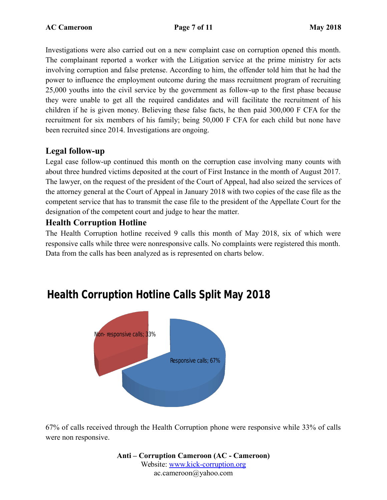Investigations were also carried out on a new complaint case on corruption opened this month. The complainant reported a worker with the Litigation service at the prime ministry for acts involving corruption and false pretense. According to him, the offender told him that he had the power to influence the employment outcome during the mass recruitment program of recruiting 25,000 youths into the civil service by the government as follow-up to the first phase because they were unable to get all the required candidates and will facilitate the recruitment of his children if he is given money. Believing these false facts, he then paid 300,000 F CFA for the recruitment for six members of his family; being 50,000 F CFA for each child but none have been recruited since 2014. Investigations are ongoing.

#### **Legal follow-up**

Legal case follow-up continued this month on the corruption case involving many counts with about three hundred victims deposited at the court of First Instance in the month of August 2017. The lawyer, on the request of the president of the Court of Appeal, had also seized the services of the attorney general at the Court of Appeal in January 2018 with two copies of the case file as the competent service that has to transmit the case file to the president of the Appellate Court for the designation of the competent court and judge to hear the matter.

#### **Health Corruption Hotline**

The Health Corruption hotline received 9 calls this month of May 2018, six of which were responsive calls while three were nonresponsive calls. No complaints were registered this month. Data from the calls has been analyzed as is represented on charts below.



# **Health Corruption Hotline Calls Split May 2018**

67% of calls received through the Health Corruption phone were responsive while 33% of calls were non responsive.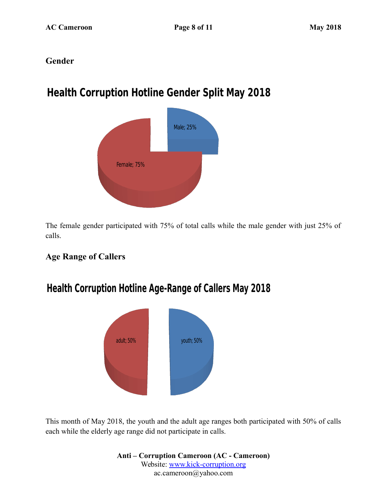#### **Gender**

# **Health Corruption Hotline Gender Split May 2018**



The female gender participated with 75% of total calls while the male gender with just 25% of calls.

### **Age Range of Callers**

### **Health Corruption Hotline Age-Range of Callers May 2018**



This month of May 2018, the youth and the adult age ranges both participated with 50% of calls each while the elderly age range did not participate in calls.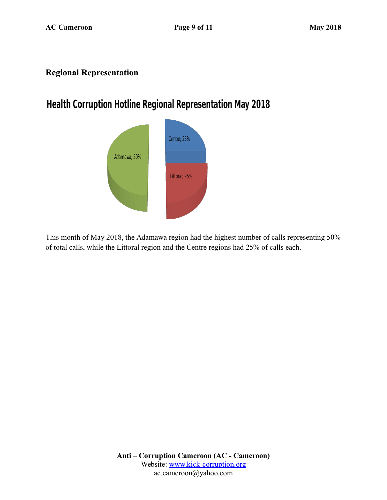### **Regional Representation**

# **Health Corruption Hotline Regional Representation May 2018**



This month of May 2018, the Adamawa region had the highest number of calls representing 50% of total calls, while the Littoral region and the Centre regions had 25% of calls each.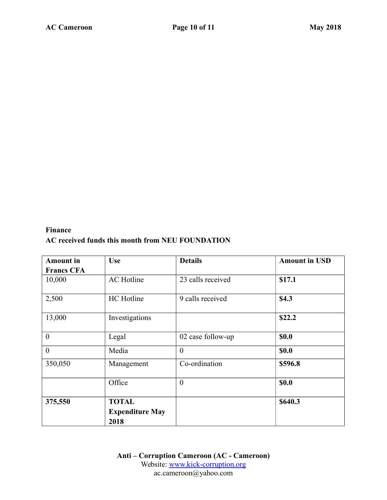#### **Finance AC received funds this month from NEU FOUNDATION**

| <b>Amount</b> in  | <b>Use</b>             | <b>Details</b>    | <b>Amount in USD</b> |
|-------------------|------------------------|-------------------|----------------------|
| <b>Francs CFA</b> |                        |                   |                      |
| 10,000            | <b>AC</b> Hotline      | 23 calls received | \$17.1               |
| 2,500             | <b>HC</b> Hotline      | 9 calls received  | \$4.3                |
| 13,000            | Investigations         |                   | \$22.2               |
| $\mathbf{0}$      | Legal                  | 02 case follow-up | \$0.0                |
| $\theta$          | Media                  | $\overline{0}$    | <b>\$0.0</b>         |
| 350,050           | Management             | Co-ordination     | \$596.8              |
|                   | Office                 | $\overline{0}$    | <b>\$0.0</b>         |
| 375,550           | <b>TOTAL</b>           |                   | \$640.3              |
|                   | <b>Expenditure May</b> |                   |                      |
|                   | 2018                   |                   |                      |